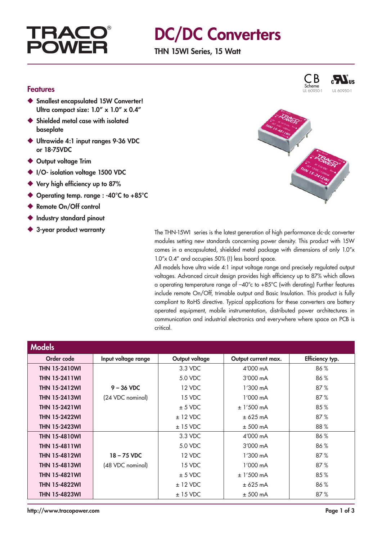# **TRAC POWF**

# DC/DC Converters

THN 15WI Series, 15 Watt

### Features

- ◆ Smallest encapsulated 15W Converter! Ultra compact size:  $1.0'' \times 1.0'' \times 0.4''$
- ◆ Shielded metal case with isolated baseplate
- ◆ Ultrawide 4:1 input ranges 9-36 VDC or 18-75VDC
- ◆ Output voltage Trim
- ◆ I/O- isolation voltage 1500 VDC
- ◆ Very high efficiency up to 87%
- ◆ Operating temp. range : -40°C to +85°C
- ◆ Remote On/Off control
- ◆ Industry standard pinout
- 



C B

 $\boldsymbol{M}$ <sub>us</sub>

◆ 3-year product warranty The THN-15WI series is the latest generation of high performance dc-dc converter modules setting new standards concerning power density. This product with 15W comes in a encapsulated, shielded metal package with dimensions of only 1.0"x 1.0"x 0.4" and occupies 50% (!) less board space.

> All models have ultra wide 4:1 input voltage range and precisely regulated output voltages. Advanced circuit design provides high efficiency up to 87% which allows a operating temperature range of  $-40^{\circ}$ c to  $+85^{\circ}$ C (with derating) Further features include remote On/Off, trimable output and Basic Insulation. This product is fully compliant to RoHS directive. Typical applications for these converters are battery operated equipment, mobile instrumentation, distributed power architectures in communication and industrial electronics and everywhere where space on PCB is critical.

| <b>Models</b>        |                     |                |                     |                 |
|----------------------|---------------------|----------------|---------------------|-----------------|
| Order code           | Input voltage range | Output voltage | Output current max. | Efficiency typ. |
| <b>THN 15-2410WI</b> |                     | 3.3 VDC        | 4'000 mA            | 86%             |
| <b>THN 15-2411WI</b> |                     | 5.0 VDC        | $3'000$ mA          | 86%             |
| <b>THN 15-2412WI</b> | $9 - 36$ VDC        | 12 VDC         | $1'300 \text{ mA}$  | 87%             |
| <b>THN 15-2413WI</b> | (24 VDC nominal)    | 15 VDC         | 1'000 mA            | 87%             |
| <b>THN 15-2421WI</b> |                     | $± 5$ VDC      | $± 1'500$ mA        | 85%             |
| <b>THN 15-2422WI</b> |                     | $± 12$ VDC     | $± 625$ mA          | 87%             |
| <b>THN 15-2423WI</b> |                     | $± 15$ VDC     | $± 500$ mA          | 88%             |
| <b>THN 15-4810WI</b> |                     | 3.3 VDC        | 4'000 mA            | 86%             |
| <b>THN 15-4811WI</b> |                     | 5.0 VDC        | $3'000$ mA          | 86%             |
| <b>THN 15-4812WI</b> | $18 - 75$ VDC       | 12 VDC         | $1'300$ mA          | 87%             |
| <b>THN 15-4813WI</b> | (48 VDC nominal)    | 15 VDC         | $1'000 \text{ mA}$  | 87%             |
| <b>THN 15-4821WI</b> |                     | $± 5$ VDC      | $± 1'500$ mA        | 85%             |
| <b>THN 15-4822WI</b> |                     | $± 12$ VDC     | ± 625 mA            | 86%             |
| <b>THN 15-4823WI</b> |                     | $± 15$ VDC     | $± 500$ mA          | 87%             |

http://www.tracopower.com Page 1 of 3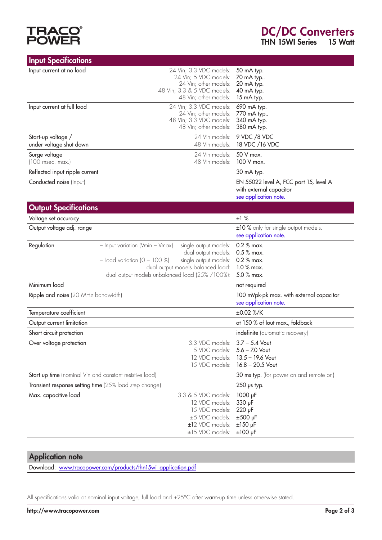

| <b>Input Specifications</b>                             |                                                                                                                                                                                                                                       |                                                                                            |
|---------------------------------------------------------|---------------------------------------------------------------------------------------------------------------------------------------------------------------------------------------------------------------------------------------|--------------------------------------------------------------------------------------------|
| Input current at no load                                | 24 Vin; 3.3 VDC models:<br>24 Vin; 5 VDC models:<br>24 Vin; other models:<br>48 Vin; 3.3 & 5 VDC models:<br>48 Vin; other models:                                                                                                     | 50 mA typ.<br>70 mA typ<br>20 mA typ.<br>40 mA typ.<br>15 mA typ.                          |
| Input current at full load                              | 24 Vin; 3.3 VDC models:<br>24 Vin; other models:<br>48 Vin; 3.3 VDC models:<br>48 Vin; other models:                                                                                                                                  | 690 mA typ.<br>770 mA typ<br>340 mA typ.<br>380 mA typ.                                    |
| Start-up voltage /<br>under voltage shut down           | 24 Vin models:<br>48 Vin models:                                                                                                                                                                                                      | 9 VDC /8 VDC<br>18 VDC /16 VDC                                                             |
| Surge voltage<br>$(100$ msec. max.)                     | 24 Vin models:<br>48 Vin models:                                                                                                                                                                                                      | 50 V max.<br>100 V max.                                                                    |
| Reflected input ripple current                          |                                                                                                                                                                                                                                       | 30 mA typ.                                                                                 |
| Conducted noise (input)                                 |                                                                                                                                                                                                                                       | EN 55022 level A, FCC part 15, level A<br>with external capacitor<br>see application note. |
| <b>Output Specifications</b>                            |                                                                                                                                                                                                                                       |                                                                                            |
| Voltage set accuracy                                    |                                                                                                                                                                                                                                       | ±1%                                                                                        |
| Output voltage adj. range                               |                                                                                                                                                                                                                                       | ±10 % only for single output models.<br>see application note.                              |
| Regulation                                              | single output models:<br>- Input variation (Vmin - Vmax)<br>dual output models:<br>$-$ Load variation $(0 - 100 \%)$<br>single output models:<br>dual output models balanced load:<br>dual output models unbalanced load (25% /100%): | 0.2 % max.<br>$0.5\%$ max.<br>0.2 % max.<br>1.0 % max.<br>5.0 % max.                       |
| Minimum load                                            |                                                                                                                                                                                                                                       | not required                                                                               |
| Ripple and noise (20 MHz bandwidth)                     |                                                                                                                                                                                                                                       | 100 mVpk-pk max. with external capacitor<br>see application note.                          |
| Temperature coefficient                                 |                                                                                                                                                                                                                                       | ±0.02 %/K                                                                                  |
| Output current limitation                               |                                                                                                                                                                                                                                       | at 150 % of lout max., foldback                                                            |
| Short circuit protection                                |                                                                                                                                                                                                                                       | indefinite (automatic recovery)                                                            |
| Over voltage protection                                 | 3.3 VDC models:<br>5 VDC models: 5.6 - 7.0 Vout<br>12 VDC models:<br>15 VDC models:                                                                                                                                                   | $3.7 - 5.4$ Vout<br>$13.5 - 19.6$ Vout<br>$16.8 - 20.5$ Vout                               |
| Start up time (nominal Vin and constant resistive load) |                                                                                                                                                                                                                                       | 30 ms typ. (for power on and remote on)                                                    |
| Transient response setting time (25% load step change)  |                                                                                                                                                                                                                                       | $250$ ps typ.                                                                              |
| Max. capacitive load                                    | 3.3 & 5 VDC models:<br>12 VDC models:<br>15 VDC models:<br>±5 VDC models:<br>±12 VDC models:<br>±15 VDC models:                                                                                                                       | 1000 µF<br>330 µF<br>220 µF<br>$±500$ µF<br>$±150$ µF<br>$±100$ µF                         |

# Application note

Download: [www.tracopower.com/products/t](http://www.tracopower.com/products/thn15wi_application.pdf)hn15wi\_application.pdf

All specifications valid at nominal input voltage, full load and +25°C after warm-up time unless otherwise stated.